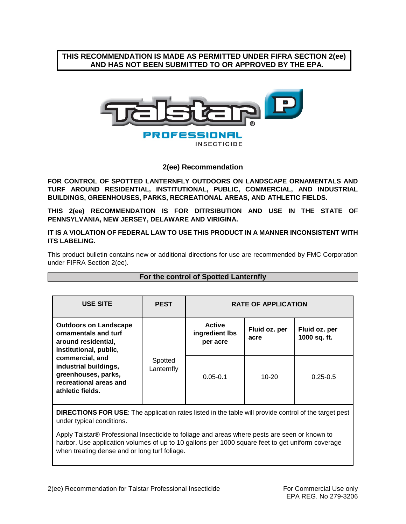## **THIS RECOMMENDATION IS MADE AS PERMITTED UNDER FIFRA SECTION 2(ee) AND HAS NOT BEEN SUBMITTED TO OR APPROVED BY THE EPA.**



**INSECTICIDE** 

## **2(ee) Recommendation**

**FOR CONTROL OF SPOTTED LANTERNFLY OUTDOORS ON LANDSCAPE ORNAMENTALS AND TURF AROUND RESIDENTIAL, INSTITUTIONAL, PUBLIC, COMMERCIAL, AND INDUSTRIAL BUILDINGS, GREENHOUSES, PARKS, RECREATIONAL AREAS, AND ATHLETIC FIELDS.**

**THIS 2(ee) RECOMMENDATION IS FOR DITRSIBUTION AND USE IN THE STATE OF PENNSYLVANIA, NEW JERSEY, DELAWARE AND VIRIGINA.** 

**IT IS A VIOLATION OF FEDERAL LAW TO USE THIS PRODUCT IN A MANNER INCONSISTENT WITH ITS LABELING.** 

This product bulletin contains new or additional directions for use are recommended by FMC Corporation under FIFRA Section 2(ee).

| <b>USE SITE</b>                                                                                                                                                                                                        | <b>PEST</b>           | <b>RATE OF APPLICATION</b>                  |                       |                               |
|------------------------------------------------------------------------------------------------------------------------------------------------------------------------------------------------------------------------|-----------------------|---------------------------------------------|-----------------------|-------------------------------|
| <b>Outdoors on Landscape</b><br>ornamentals and turf<br>around residential,<br>institutional, public,<br>commercial, and<br>industrial buildings,<br>greenhouses, parks,<br>recreational areas and<br>athletic fields. | Spotted<br>Lanternfly | <b>Active</b><br>ingredient lbs<br>per acre | Fluid oz. per<br>acre | Fluid oz. per<br>1000 sq. ft. |
|                                                                                                                                                                                                                        |                       | $0.05 - 0.1$                                | $10 - 20$             | $0.25 - 0.5$                  |

## **For the control of Spotted Lanternfly**

**DIRECTIONS FOR USE**: The application rates listed in the table will provide control of the target pest under typical conditions.

Apply Talstar® Professional Insecticide to foliage and areas where pests are seen or known to harbor. Use application volumes of up to 10 gallons per 1000 square feet to get uniform coverage when treating dense and or long turf foliage.